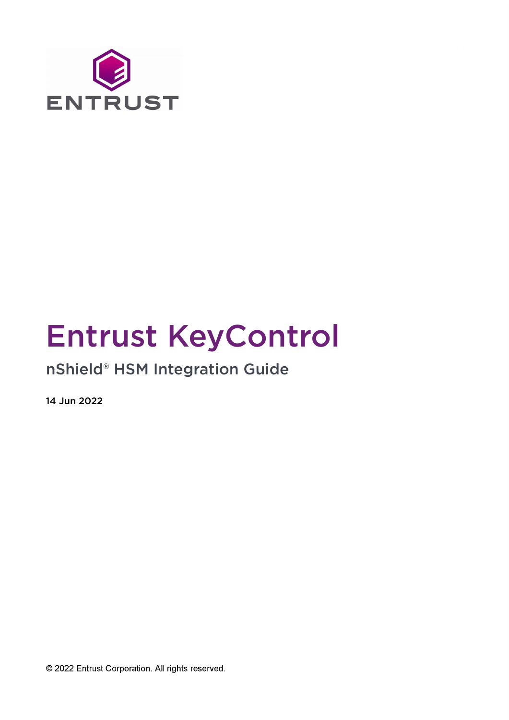

# Entrust KeyControl

# nShield® HSM Integration Guide

14 Jun 2022

© 2022 Entrust Corporation. All rights reserved.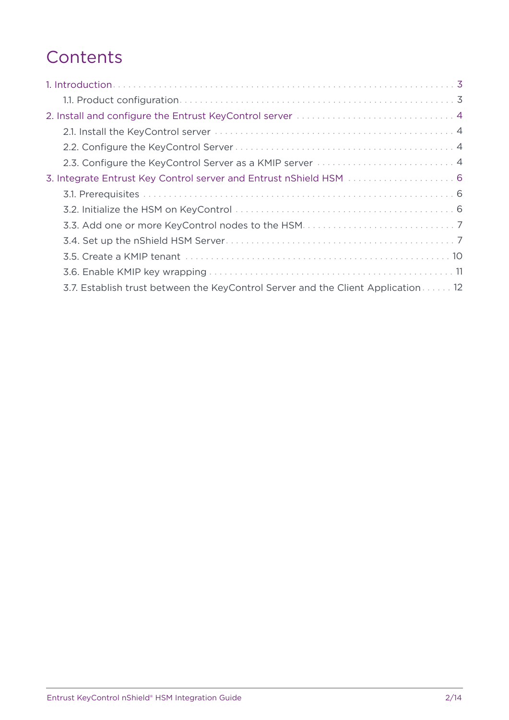# **Contents**

| 2.3. Configure the KeyControl Server as a KMIP server  4                         |
|----------------------------------------------------------------------------------|
| 3. Integrate Entrust Key Control server and Entrust nShield HSM  6               |
|                                                                                  |
|                                                                                  |
|                                                                                  |
|                                                                                  |
|                                                                                  |
|                                                                                  |
| 3.7. Establish trust between the KeyControl Server and the Client Application 12 |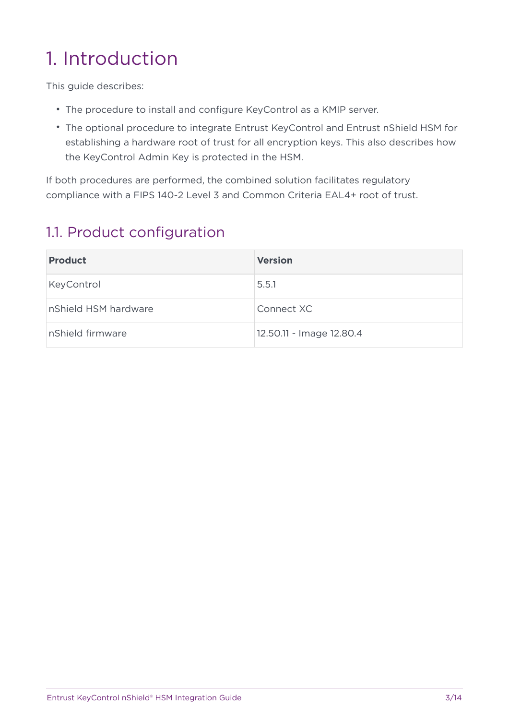# <span id="page-2-0"></span>1. Introduction

This guide describes:

- The procedure to install and configure KeyControl as a KMIP server.
- The optional procedure to integrate Entrust KeyControl and Entrust nShield HSM for establishing a hardware root of trust for all encryption keys. This also describes how the KeyControl Admin Key is protected in the HSM.

If both procedures are performed, the combined solution facilitates regulatory compliance with a FIPS 140-2 Level 3 and Common Criteria EAL4+ root of trust.

### <span id="page-2-1"></span>1.1. Product configuration

| <b>Product</b>       | <b>Version</b>           |
|----------------------|--------------------------|
| KeyControl           | 5.5.1                    |
| nShield HSM hardware | Connect XC               |
| nShield firmware     | 12.50.11 - Image 12.80.4 |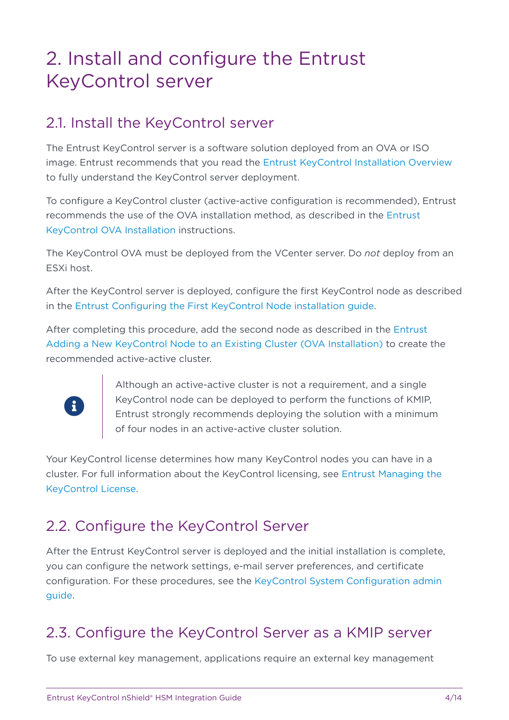# <span id="page-3-0"></span>2. Install and configure the Entrust KeyControl server

### <span id="page-3-1"></span>2.1. Install the KeyControl server

The Entrust KeyControl server is a software solution deployed from an OVA or ISO image. Entrust recommends that you read the [Entrust KeyControl Installation Overview](https://docs.hytrust.com/DataControl/5.5.1/Online/Content/Books/Install-Guide/Install-Overview/aaaChapter-Install-Overview.html) to fully understand the KeyControl server deployment.

To configure a KeyControl cluster (active-active configuration is recommended), Entrust recommends the use of the OVA installation method, as described in the [Entrust](https://docs.hytrust.com/DataControl/5.5.1/Online/Content/Books/Install-Guide/Install-OVA/aaaChapter-OVA-Installation.html) [KeyControl OVA Installation](https://docs.hytrust.com/DataControl/5.5.1/Online/Content/Books/Install-Guide/Install-OVA/aaaChapter-OVA-Installation.html) instructions.

The KeyControl OVA must be deployed from the VCenter server. Do *not* deploy from an ESXi host.

After the KeyControl server is deployed, configure the first KeyControl node as described in the [Entrust Configuring the First KeyControl Node installation guide](https://docs.hytrust.com/DataControl/5.5.1/Online/Content/Books/Install-Guide/Install-OVA/Configuring-First-KC-Node-ova.html).

After completing this procedure, add the second node as described in the [Entrust](https://docs.hytrust.com/DataControl/5.5.1/Online/Content/Books/Install-Guide/Install-OVA/Adding-New-KC-Node-to-Existing-Cluster-ova.html) [Adding a New KeyControl Node to an Existing Cluster \(OVA Installation\)](https://docs.hytrust.com/DataControl/5.5.1/Online/Content/Books/Install-Guide/Install-OVA/Adding-New-KC-Node-to-Existing-Cluster-ova.html) to create the recommended active-active cluster.



Although an active-active cluster is not a requirement, and a single KeyControl node can be deployed to perform the functions of KMIP, Entrust strongly recommends deploying the solution with a minimum of four nodes in an active-active cluster solution.

Your KeyControl license determines how many KeyControl nodes you can have in a cluster. For full information about the KeyControl licensing, see [Entrust Managing the](https://docs.hytrust.com/DataControl/5.5.1/Online/Content/Books/Admin-Guide/KC-System-Config/Managing-the-KC-License.html) [KeyControl License](https://docs.hytrust.com/DataControl/5.5.1/Online/Content/Books/Admin-Guide/KC-System-Config/Managing-the-KC-License.html).

## <span id="page-3-2"></span>2.2. Configure the KeyControl Server

After the Entrust KeyControl server is deployed and the initial installation is complete, you can configure the network settings, e-mail server preferences, and certificate configuration. For these procedures, see the [KeyControl System Configuration admin](https://docs.hytrust.com/DataControl/5.5.1/Online/Content/Books/Admin-Guide/KC-System-Config/aaaChapter-KC-Sys-Config.html) [guide.](https://docs.hytrust.com/DataControl/5.5.1/Online/Content/Books/Admin-Guide/KC-System-Config/aaaChapter-KC-Sys-Config.html)

### <span id="page-3-3"></span>2.3. Configure the KeyControl Server as a KMIP server

To use external key management, applications require an external key management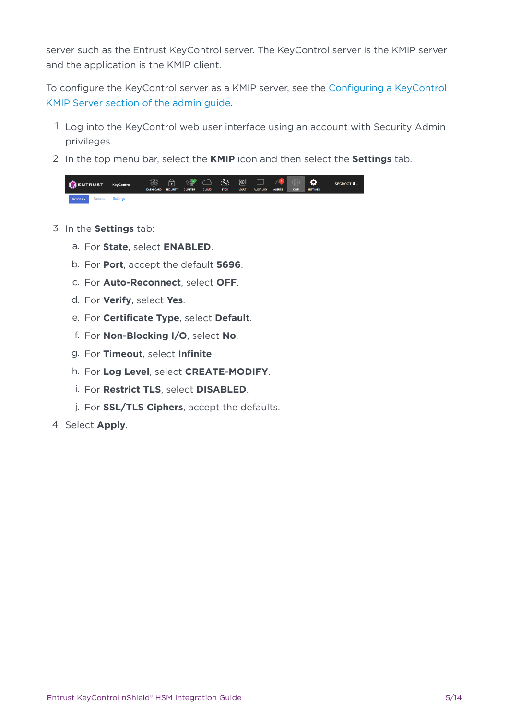server such as the Entrust KeyControl server. The KeyControl server is the KMIP server and the application is the KMIP client.

To configure the KeyControl server as a KMIP server, see the [Configuring a KeyControl](https://docs.hytrust.com/DataControl/5.5.1/Online/Content/Books/Admin-Guide/KC-System-Config/Admin-Keys-and-KMIP/Configuring-a-KC-KMIP-Server-upgrade.html) [KMIP Server section of the admin guide.](https://docs.hytrust.com/DataControl/5.5.1/Online/Content/Books/Admin-Guide/KC-System-Config/Admin-Keys-and-KMIP/Configuring-a-KC-KMIP-Server-upgrade.html)

- 1. Log into the KeyControl web user interface using an account with Security Admin privileges.
- 2. In the top menu bar, select the **KMIP** icon and then select the **Settings** tab.

|                 |                  | $\bigcirc$ ENTRUST $\big $ KeyControl | <b>DASHBOARD SECURITY</b> | <b>CLUSTER</b> | <b>CLOUD</b> | <b>BYOK</b> | <b>VAULT</b> | $\circledR$ $\circledR$ $\circledR$ $\circledR$ $\circledR$ $\circledR$ $\circledR$ $\circledR$<br><b>AUDIT LOG</b> | <b>ALERTS</b> | <b>KMIP</b> | $\ddot{\phi}$<br><b>SETTINGS</b> | SECROOT 1 - |
|-----------------|------------------|---------------------------------------|---------------------------|----------------|--------------|-------------|--------------|---------------------------------------------------------------------------------------------------------------------|---------------|-------------|----------------------------------|-------------|
| Actions $\star$ | Tenants Settings |                                       |                           |                |              |             |              |                                                                                                                     |               |             |                                  |             |

- 3. In the **Settings** tab:
	- a. For **State**, select **ENABLED**.
	- b. For **Port**, accept the default **5696**.
	- c. For **Auto-Reconnect**, select **OFF**.
	- d. For **Verify**, select **Yes**.
	- e. For **Certificate Type**, select **Default**.
	- f. For **Non-Blocking I/O**, select **No**.
	- g. For **Timeout**, select **Infinite**.
	- h. For **Log Level**, select **CREATE-MODIFY**.
	- i. For **Restrict TLS**, select **DISABLED**.
	- j. For **SSL/TLS Ciphers**, accept the defaults.
- 4. Select **Apply**.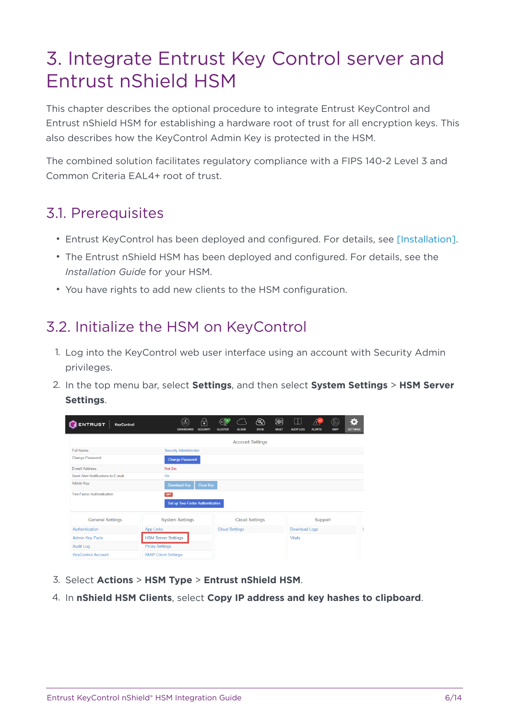# <span id="page-5-0"></span>3. Integrate Entrust Key Control server and Entrust nShield HSM

This chapter describes the optional procedure to integrate Entrust KeyControl and Entrust nShield HSM for establishing a hardware root of trust for all encryption keys. This also describes how the KeyControl Admin Key is protected in the HSM.

The combined solution facilitates regulatory compliance with a FIPS 140-2 Level 3 and Common Criteria EAL4+ root of trust.

#### <span id="page-5-1"></span>3.1. Prerequisites

- Entrust KeyControl has been deployed and configured. For details, see [Installation].
- The Entrust nShield HSM has been deployed and configured. For details, see the *Installation Guide* for your HSM.
- You have rights to add new clients to the HSM configuration.

### <span id="page-5-2"></span>3.2. Initialize the HSM on KeyControl

- 1. Log into the KeyControl web user interface using an account with Security Admin privileges.
- 2. In the top menu bar, select **Settings**, and then select **System Settings** > **HSM Server Settings**.

| <b>ENTRUST</b><br>KeyControl        | <b>DASHBOARD</b>                 | ₽<br><b>SECURITY</b><br><b>CLUSTER</b> | <b>CLOUD</b>            | @}<br>(t⊛i<br><b>BYOK</b><br>VAULT | Ш<br><b>AUDIT LOG</b> | <b>ALERTS</b> | KMIP | $\bullet$<br><b>SETTINGS</b> |
|-------------------------------------|----------------------------------|----------------------------------------|-------------------------|------------------------------------|-----------------------|---------------|------|------------------------------|
|                                     |                                  |                                        | <b>Account Settings</b> |                                    |                       |               |      |                              |
| Full Name:                          | <b>Security Administrator</b>    |                                        |                         |                                    |                       |               |      |                              |
| Change Password:                    | <b>Change Password</b>           |                                        |                         |                                    |                       |               |      |                              |
| E-mail Address:                     | Not Set                          |                                        |                         |                                    |                       |               |      |                              |
| Send Alert Notifications to E-mail: | On                               |                                        |                         |                                    |                       |               |      |                              |
| Admin Key:                          | <b>Download Key</b>              | <b>Clear Key</b>                       |                         |                                    |                       |               |      |                              |
| Two-Factor Authentication:          | OFF                              |                                        |                         |                                    |                       |               |      |                              |
|                                     | Set up Two-Factor Authentication |                                        |                         |                                    |                       |               |      |                              |
| <b>General Settings</b>             | <b>System Settings</b>           |                                        | <b>Cloud Settings</b>   |                                    |                       | Support       |      |                              |
| Authentication                      | <b>App Links</b>                 |                                        | <b>Cloud Settings</b>   |                                    | <b>Download Logs</b>  |               |      |                              |
| <b>Admin Key Parts</b>              | <b>HSM Server Settings</b>       |                                        |                         |                                    | <b>Vitals</b>         |               |      |                              |
| <b>Audit Log</b>                    | <b>Proxy Settings</b>            |                                        |                         |                                    |                       |               |      |                              |
| <b>KeyControl Account</b>           | <b>KMIP Client Settings</b>      |                                        |                         |                                    |                       |               |      |                              |

- 3. Select **Actions** > **HSM Type** > **Entrust nShield HSM**.
- 4. In **nShield HSM Clients**, select **Copy IP address and key hashes to clipboard**.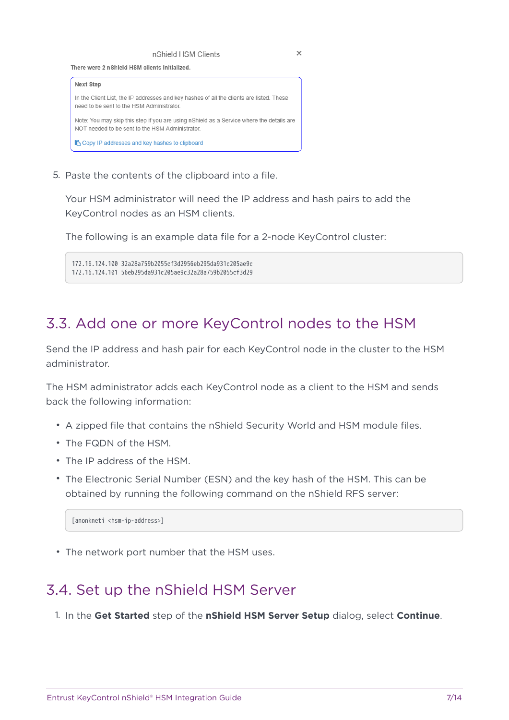nShield HSM Clients





5. Paste the contents of the clipboard into a file.

Your HSM administrator will need the IP address and hash pairs to add the KeyControl nodes as an HSM clients.

The following is an example data file for a 2-node KeyControl cluster:

172.16.124.100 32a28a759b2055cf3d2956eb295da931c205ae9c 172.16.124.101 56eb295da931c205ae9c32a28a759b2055cf3d29

#### <span id="page-6-0"></span>3.3. Add one or more KeyControl nodes to the HSM

Send the IP address and hash pair for each KeyControl node in the cluster to the HSM administrator.

The HSM administrator adds each KeyControl node as a client to the HSM and sends back the following information:

- A zipped file that contains the nShield Security World and HSM module files.
- The FQDN of the HSM.
- The IP address of the HSM.
- The Electronic Serial Number (ESN) and the key hash of the HSM. This can be obtained by running the following command on the nShield RFS server:

[anonkneti <hsm-ip-address>]

• The network port number that the HSM uses.

### <span id="page-6-1"></span>3.4. Set up the nShield HSM Server

1. In the **Get Started** step of the **nShield HSM Server Setup** dialog, select **Continue**.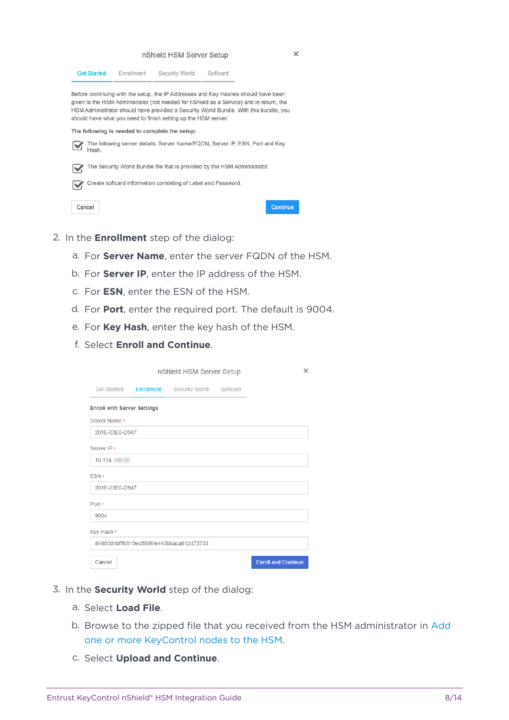

- 2. In the **Enrollment** step of the dialog:
	- a. For **Server Name**, enter the server FQDN of the HSM.
	- b. For **Server IP**, enter the IP address of the HSM.
	- c. For **ESN**, enter the ESN of the HSM.
	- d. For **Port**, enter the required port. The default is 9004.
	- e. For **Key Hash**, enter the key hash of the HSM.
	- f. Select **Enroll and Continue**.

|                               | nShield HSM Server Setup                 | ×                          |
|-------------------------------|------------------------------------------|----------------------------|
| Get Started <b>Enrollment</b> | Security World Softcard                  |                            |
| Enroll with Server Settings   |                                          |                            |
| Server Name *                 |                                          |                            |
| 201E-03E0-D947                |                                          |                            |
| Server IP *                   |                                          |                            |
| 10.194.                       |                                          |                            |
| ESN *                         |                                          |                            |
| 201E-03E0-D947                |                                          |                            |
| Port *                        |                                          |                            |
| 9004                          |                                          |                            |
| Key Hash *                    |                                          |                            |
|                               | 84800d1bfff6515ed5806fe443bbaca812d73733 |                            |
| Cancel                        |                                          | <b>Enroll and Continue</b> |

- 3. In the **Security World** step of the dialog:
	- a. Select **Load File**.
	- b. Browse to the zipped file that you received from the HSM administrator in [Add](#page-6-0) [one or more KeyControl nodes to the HSM](#page-6-0).
	- c. Select **Upload and Continue**.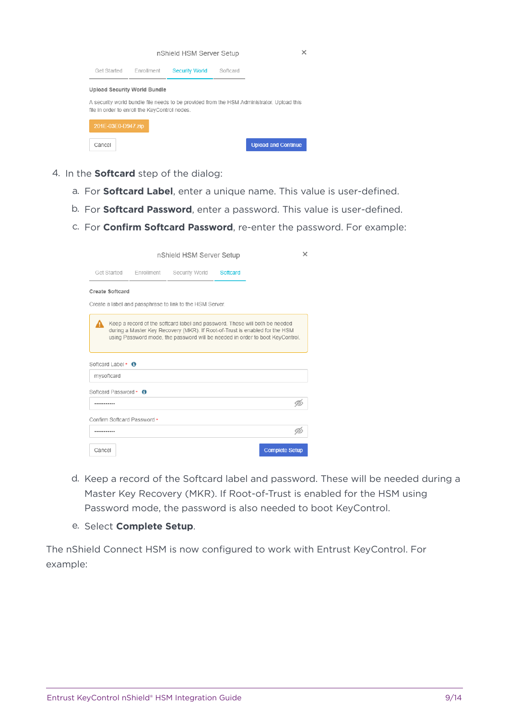

- 4. In the **Softcard** step of the dialog:
	- a. For **Softcard Label**, enter a unique name. This value is user-defined.
	- b. For **Softcard Password**, enter a password. This value is user-defined.
	- c. For **Confirm Softcard Password**, re-enter the password. For example:

|                                        |                        | nShield HSM Server Setup                                                                                                                                                                                                                    |          |                       | × |
|----------------------------------------|------------------------|---------------------------------------------------------------------------------------------------------------------------------------------------------------------------------------------------------------------------------------------|----------|-----------------------|---|
|                                        | Get Started Enrollment | Security World                                                                                                                                                                                                                              | Softcard |                       |   |
| Create Softcard                        |                        |                                                                                                                                                                                                                                             |          |                       |   |
|                                        |                        | Create a label and passphrase to link to the HSM Server.                                                                                                                                                                                    |          |                       |   |
|                                        |                        | Keep a record of the softcard label and password. These will both be needed<br>during a Master Key Recovery (MKR). If Root-of-Trust is enabled for the HSM<br>using Password mode, the password will be needed in order to boot KeyControl. |          |                       |   |
| Softcard Label $\star$ 6<br>mysoftcard |                        |                                                                                                                                                                                                                                             |          |                       |   |
| Softcard Password * 6                  |                        |                                                                                                                                                                                                                                             |          |                       |   |
|                                        |                        |                                                                                                                                                                                                                                             |          |                       |   |
| Confirm Softcard Password *            |                        |                                                                                                                                                                                                                                             |          |                       |   |
|                                        |                        |                                                                                                                                                                                                                                             |          |                       |   |
| Cancel                                 |                        |                                                                                                                                                                                                                                             |          | <b>Complete Setup</b> |   |

- d. Keep a record of the Softcard label and password. These will be needed during a Master Key Recovery (MKR). If Root-of-Trust is enabled for the HSM using Password mode, the password is also needed to boot KeyControl.
- e. Select **Complete Setup**.

The nShield Connect HSM is now configured to work with Entrust KeyControl. For example: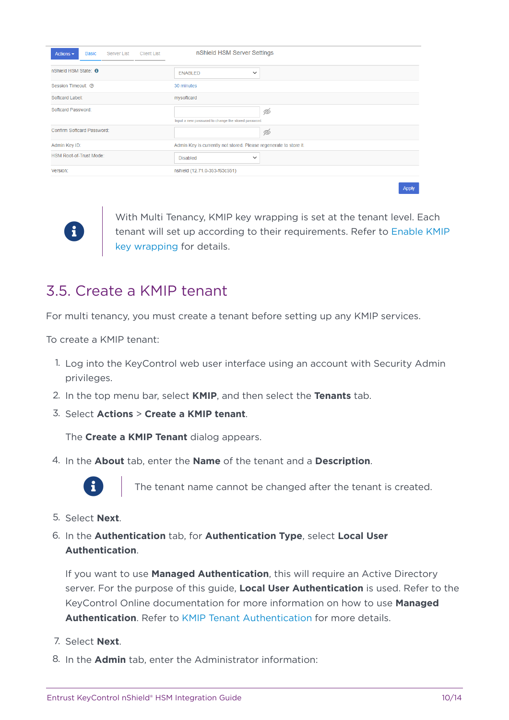| <b>Basic</b><br>Server List<br><b>Client List</b><br>Actions $\sim$ | nShield HSM Server Settings                                       |
|---------------------------------------------------------------------|-------------------------------------------------------------------|
| nShield HSM State: <b>0</b>                                         | <b>ENABLED</b><br>$\checkmark$                                    |
| Session Timeout: 7                                                  | 30 minutes                                                        |
| Softcard Label:                                                     | mysoftcard                                                        |
| Softcard Password:                                                  | Ď<br>Input a new password to change the stored password.          |
| Confirm Softcard Password:                                          | Ď                                                                 |
| Admin Key ID:                                                       | Admin Key is currently not stored. Please regenerate to store it. |
| <b>HSM Root-of-Trust Mode:</b>                                      | <b>Disabled</b><br>$\checkmark$                                   |
| Version:                                                            | nshield (12.71.0-353-f63c551)                                     |
|                                                                     |                                                                   |

With Multi Tenancy, KMIP key wrapping is set at the tenant level. Each tenant will set up according to their requirements. Refer to [Enable KMIP](#page-10-0) [key wrapping](#page-10-0) for details.

Apply

#### <span id="page-9-0"></span>3.5. Create a KMIP tenant

For multi tenancy, you must create a tenant before setting up any KMIP services.

To create a KMIP tenant:

8

- 1. Log into the KeyControl web user interface using an account with Security Admin privileges.
- 2. In the top menu bar, select **KMIP**, and then select the **Tenants** tab.
- 3. Select **Actions** > **Create a KMIP tenant**.

The **Create a KMIP Tenant** dialog appears.

4. In the **About** tab, enter the **Name** of the tenant and a **Description**.



The tenant name cannot be changed after the tenant is created.

- 5. Select **Next**.
- 6. In the **Authentication** tab, for **Authentication Type**, select **Local User Authentication**.

If you want to use **Managed Authentication**, this will require an Active Directory server. For the purpose of this guide, **Local User Authentication** is used. Refer to the KeyControl Online documentation for more information on how to use **Managed Authentication**. Refer to [KMIP Tenant Authentication](https://docs.hytrust.com/DataControl/5.5.1/Online/Content/Books/Admin-Guide/Multi-Tenant-KMIP/KMIP-Tenant-Authentication.html) for more details.

- 7. Select **Next**.
- 8. In the **Admin** tab, enter the Administrator information: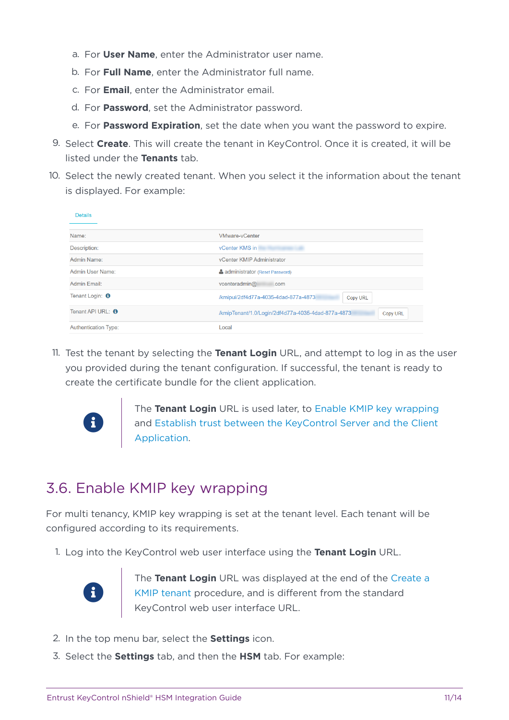- a. For **User Name**, enter the Administrator user name.
- b. For **Full Name**, enter the Administrator full name.
- c. For **Email**, enter the Administrator email.
- d. For **Password**, set the Administrator password.
- e. For **Password Expiration**, set the date when you want the password to expire.
- 9. Select **Create**. This will create the tenant in KeyControl. Once it is created, it will be listed under the **Tenants** tab.
- 10. Select the newly created tenant. When you select it the information about the tenant is displayed. For example:

| <b>Details</b>              |                                                                |
|-----------------------------|----------------------------------------------------------------|
| Name:                       | <b>VMware-vCenter</b>                                          |
| Description:                | vCenter KMS in                                                 |
| Admin Name:                 | vCenter KMIP Administrator                                     |
| Admin User Name:            | <b>A</b> administrator (Reset Password)                        |
| Admin Email:                | vcenteradmin@<br>.com                                          |
| Tenant Login: <b>O</b>      | /kmipui/2df4d77a-4035-4dad-877a-4873<br><b>Copy URL</b>        |
| Tenant API URL: <b>0</b>    | /kmipTenant/1.0/Login/2df4d77a-4035-4dad-877a-4873<br>Copy URL |
| <b>Authentication Type:</b> | Local                                                          |

11. Test the tenant by selecting the **Tenant Login** URL, and attempt to log in as the user you provided during the tenant configuration. If successful, the tenant is ready to create the certificate bundle for the client application.



The **Tenant Login** URL is used later, to [Enable KMIP key wrapping](#page-10-0) | and [Establish trust between the KeyControl Server and the Client](#page-11-0) [Application](#page-11-0).

### <span id="page-10-0"></span>3.6. Enable KMIP key wrapping

For multi tenancy, KMIP key wrapping is set at the tenant level. Each tenant will be configured according to its requirements.

1. Log into the KeyControl web user interface using the **Tenant Login** URL.



The **Tenant Login** URL was displayed at the end of the [Create a](#page-9-0) [KMIP tenant](#page-9-0) procedure, and is different from the standard KeyControl web user interface URL.

- 2. In the top menu bar, select the **Settings** icon.
- 3. Select the **Settings** tab, and then the **HSM** tab. For example: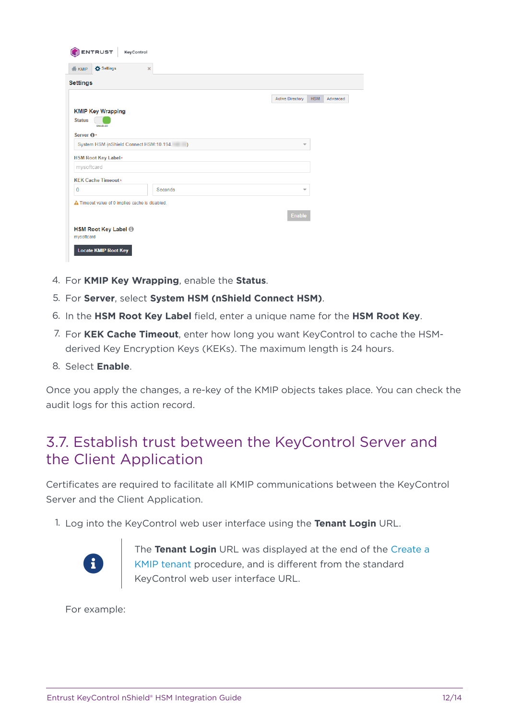| Settings<br><b>KMIP</b>                         | $\boldsymbol{\varkappa}$ |         |                          |            |          |
|-------------------------------------------------|--------------------------|---------|--------------------------|------------|----------|
| <b>Settings</b>                                 |                          |         |                          |            |          |
|                                                 |                          |         | <b>Active Directory</b>  | <b>HSM</b> | Advanced |
| <b>KMIP Key Wrapping</b>                        |                          |         |                          |            |          |
| <b>Status</b>                                   |                          |         |                          |            |          |
| <b>ENABLED</b><br>Server <b>O</b> *             |                          |         |                          |            |          |
| System HSM (nShield Connect HSM:10.194. )       |                          |         | $\overline{\phantom{a}}$ |            |          |
| <b>HSM Root Key Label*</b>                      |                          |         |                          |            |          |
| mysoftcard                                      |                          |         |                          |            |          |
| <b>KEK Cache Timeout*</b>                       |                          |         |                          |            |          |
| $\overline{0}$                                  |                          | Seconds | $\overline{\mathbf{v}}$  |            |          |
| A Timeout value of 0 implies cache is disabled. |                          |         |                          |            |          |
|                                                 |                          |         | <b>Enable</b>            |            |          |
|                                                 |                          |         |                          |            |          |
| <b>HSM Root Key Label ®</b>                     |                          |         |                          |            |          |

- 4. For **KMIP Key Wrapping**, enable the **Status**.
- 5. For **Server**, select **System HSM (nShield Connect HSM)**.
- 6. In the **HSM Root Key Label** field, enter a unique name for the **HSM Root Key**.
- 7. For **KEK Cache Timeout**, enter how long you want KeyControl to cache the HSMderived Key Encryption Keys (KEKs). The maximum length is 24 hours.
- 8. Select **Enable**.

Once you apply the changes, a re-key of the KMIP objects takes place. You can check the audit logs for this action record.

#### <span id="page-11-0"></span>3.7. Establish trust between the KeyControl Server and the Client Application

Certificates are required to facilitate all KMIP communications between the KeyControl Server and the Client Application.

1. Log into the KeyControl web user interface using the **Tenant Login** URL.



The **Tenant Login** URL was displayed at the end of the [Create a](#page-9-0) [KMIP tenant](#page-9-0) procedure, and is different from the standard KeyControl web user interface URL.

For example: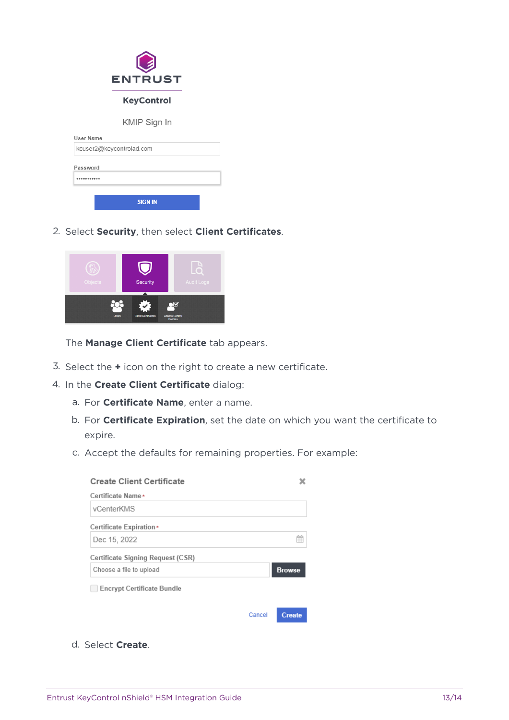| <b>ENTRUST</b>           |  |
|--------------------------|--|
| <b>KeyControl</b>        |  |
| KMIP Sign In             |  |
| User Name                |  |
| kcuser2@keycontrolad.com |  |
| Password<br>             |  |
| <b>SIGN IN</b>           |  |

2. Select **Security**, then select **Client Certificates**.



The **Manage Client Certificate** tab appears.

- 3. Select the **+** icon on the right to create a new certificate.
- 4. In the **Create Client Certificate** dialog:
	- a. For **Certificate Name**, enter a name.
	- b. For **Certificate Expiration**, set the date on which you want the certificate to expire.
	- c. Accept the defaults for remaining properties. For example:

| <b>Create Client Certificate</b>  |        |               |
|-----------------------------------|--------|---------------|
| Certificate Name*                 |        |               |
| vCenterKMS                        |        |               |
| Certificate Expiration*           |        |               |
| Dec 15, 2022                      |        |               |
| Certificate Signing Request (CSR) |        |               |
| Choose a file to upload           |        | <b>Browse</b> |
| <b>Encrypt Certificate Bundle</b> |        |               |
|                                   | Cancel | <b>Create</b> |

d. Select **Create**.